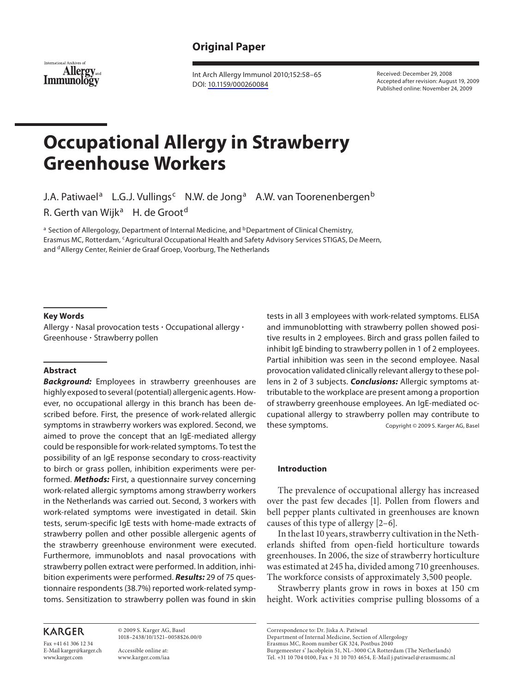# **Original Paper**



 Int Arch Allergy Immunol 2010;152:58–65 DOI: [10.1159/000260084](http://dx.doi.org/10.1159%2F000260084)

 Received: December 29, 2008 Accepted after revision: August 19, 2009 Published online: November 24, 2009

# **Occupational Allergy in Strawberry Greenhouse Workers**

J.A. Patiwael<sup>a</sup> L.G.J. Vullings<sup>c</sup> N.W. de Jong<sup>a</sup> A.W. van Toorenenbergen<sup>b</sup> R. Gerth van Wijk<sup>a</sup> H. de Groot<sup>d</sup>

<sup>a</sup> Section of Allergology, Department of Internal Medicine, and <sup>b</sup> Department of Clinical Chemistry, Erasmus MC, Rotterdam, <sup>c</sup>Agricultural Occupational Health and Safety Advisory Services STIGAS, De Meern, and <sup>d</sup> Allergy Center, Reinier de Graaf Groep, Voorburg, The Netherlands

#### **Key Words**

 Allergy - Nasal provocation tests - Occupational allergy -Greenhouse - Strawberry pollen

## **Abstract**

*Background:* Employees in strawberry greenhouses are highly exposed to several (potential) allergenic agents. However, no occupational allergy in this branch has been described before. First, the presence of work-related allergic symptoms in strawberry workers was explored. Second, we aimed to prove the concept that an IgE-mediated allergy could be responsible for work-related symptoms. To test the possibility of an IgE response secondary to cross-reactivity to birch or grass pollen, inhibition experiments were performed. *Methods:* First, a questionnaire survey concerning work-related allergic symptoms among strawberry workers in the Netherlands was carried out. Second, 3 workers with work-related symptoms were investigated in detail. Skin tests, serum-specific IgE tests with home-made extracts of strawberry pollen and other possible allergenic agents of the strawberry greenhouse environment were executed. Furthermore, immunoblots and nasal provocations with strawberry pollen extract were performed. In addition, inhibition experiments were performed. *Results:* 29 of 75 questionnaire respondents (38.7%) reported work-related symptoms. Sensitization to strawberry pollen was found in skin

tests in all 3 employees with work-related symptoms. ELISA and immunoblotting with strawberry pollen showed positive results in 2 employees. Birch and grass pollen failed to inhibit IgE binding to strawberry pollen in 1 of 2 employees. Partial inhibition was seen in the second employee. Nasal provocation validated clinically relevant allergy to these pollens in 2 of 3 subjects. *Conclusions:* Allergic symptoms attributable to the workplace are present among a proportion of strawberry greenhouse employees. An IgE-mediated occupational allergy to strawberry pollen may contribute to these symptoms. Copyright © 2009 S. Karger AG, Basel

# **Introduction**

 The prevalence of occupational allergy has increased over the past few decades [1]. Pollen from flowers and bell pepper plants cultivated in greenhouses are known causes of this type of allergy [2–6] .

 In the last 10 years, strawberry cultivation in the Netherlands shifted from open-field horticulture towards greenhouses. In 2006, the size of strawberry horticulture was estimated at 245 ha, divided among 710 greenhouses. The workforce consists of approximately 3,500 people.

 Strawberry plants grow in rows in boxes at 150 cm height. Work activities comprise pulling blossoms of a

# **KARGER**

Fax +41 61 306 12 34 E-Mail karger@karger.ch www.karger.com

 © 2009 S. Karger AG, Basel 1018–2438/10/1521–0058\$26.00/0

 Accessible online at: www.karger.com/iaa Correspondence to: Dr. Jiska A. Patiwael

 Burgemeester s' Jacobplein 51, NL–3000 CA Rotterdam (The Netherlands) Tel. +31 10 704 0100, Fax + 31 10 703 4654, E-Mail j.patiwael @ erasmusmc.nl

Department of Internal Medicine, Section of Allergology

Erasmus MC, Room number GK 324, Postbus 2040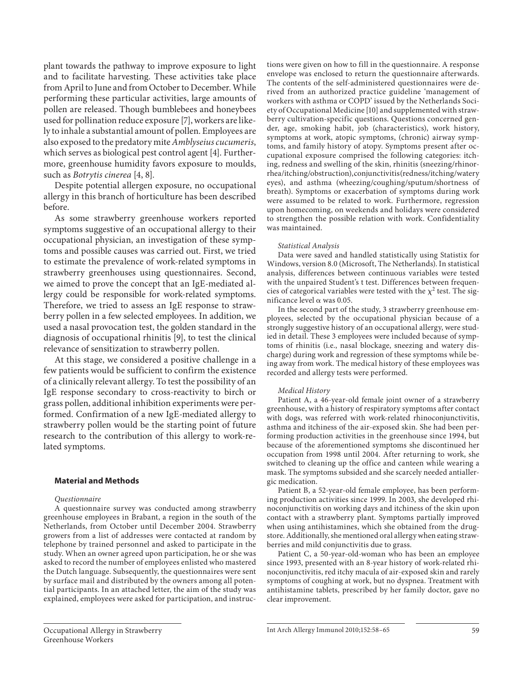plant towards the pathway to improve exposure to light and to facilitate harvesting. These activities take place from April to June and from October to December. While performing these particular activities, large amounts of pollen are released. Though bumblebees and honeybees used for pollination reduce exposure [7] , workers are likely to inhale a substantial amount of pollen. Employees are also exposed to the predatory mite *Amblyseius cucumeris* , which serves as biological pest control agent [4]. Furthermore, greenhouse humidity favors exposure to moulds, such as *Botrytis cinerea* [4, 8] .

 Despite potential allergen exposure, no occupational allergy in this branch of horticulture has been described before.

 As some strawberry greenhouse workers reported symptoms suggestive of an occupational allergy to their occupational physician, an investigation of these symptoms and possible causes was carried out. First, we tried to estimate the prevalence of work-related symptoms in strawberry greenhouses using questionnaires. Second, we aimed to prove the concept that an IgE-mediated allergy could be responsible for work-related symptoms. Therefore, we tried to assess an IgE response to strawberry pollen in a few selected employees. In addition, we used a nasal provocation test, the golden standard in the diagnosis of occupational rhinitis [9], to test the clinical relevance of sensitization to strawberry pollen.

 At this stage, we considered a positive challenge in a few patients would be sufficient to confirm the existence of a clinically relevant allergy. To test the possibility of an IgE response secondary to cross-reactivity to birch or grass pollen, additional inhibition experiments were performed. Confirmation of a new IgE-mediated allergy to strawberry pollen would be the starting point of future research to the contribution of this allergy to work-related symptoms.

# **Material and Methods**

#### *Questionnaire*

 A questionnaire survey was conducted among strawberry greenhouse employees in Brabant, a region in the south of the Netherlands, from October until December 2004. Strawberry growers from a list of addresses were contacted at random by telephone by trained personnel and asked to participate in the study. When an owner agreed upon participation, he or she was asked to record the number of employees enlisted who mastered the Dutch language. Subsequently, the questionnaires were sent by surface mail and distributed by the owners among all potential participants. In an attached letter, the aim of the study was explained, employees were asked for participation, and instructions were given on how to fill in the questionnaire. A response envelope was enclosed to return the questionnaire afterwards. The contents of the self-administered questionnaires were derived from an authorized practice guideline 'management of workers with asthma or COPD' issued by the Netherlands Society of Occupational Medicine [10] and supplemented with strawberry cultivation-specific questions. Questions concerned gender, age, smoking habit, job (characteristics), work history, symptoms at work, atopic symptoms, (chronic) airway symptoms, and family history of atopy. Symptoms present after occupational exposure comprised the following categories: itching, redness and swelling of the skin, rhinitis (sneezing/rhinorrhea/itching/obstruction), conjunctivitis (redness/itching/watery eyes), and asthma (wheezing/coughing/sputum/shortness of breath). Symptoms or exacerbation of symptoms during work were assumed to be related to work. Furthermore, regression upon homecoming, on weekends and holidays were considered to strengthen the possible relation with work. Confidentiality was maintained.

#### *Statistical Analysis*

 Data were saved and handled statistically using Statistix for Windows, version 8.0 (Microsoft, The Netherlands). In statistical analysis, differences between continuous variables were tested with the unpaired Student's t test. Differences between frequencies of categorical variables were tested with the  $\chi^2$  test. The significance level  $\alpha$  was 0.05.

 In the second part of the study, 3 strawberry greenhouse employees, selected by the occupational physician because of a strongly suggestive history of an occupational allergy, were studied in detail. These 3 employees were included because of symptoms of rhinitis (i.e., nasal blockage, sneezing and watery discharge) during work and regression of these symptoms while being away from work. The medical history of these employees was recorded and allergy tests were performed.

#### *Medical History*

 Patient A, a 46-year-old female joint owner of a strawberry greenhouse, with a history of respiratory symptoms after contact with dogs, was referred with work-related rhinoconjunctivitis, asthma and itchiness of the air-exposed skin. She had been performing production activities in the greenhouse since 1994, but because of the aforementioned symptoms she discontinued her occupation from 1998 until 2004. After returning to work, she switched to cleaning up the office and canteen while wearing a mask. The symptoms subsided and she scarcely needed antiallergic medication.

 Patient B, a 52-year-old female employee, has been performing production activities since 1999. In 2003, she developed rhinoconjunctivitis on working days and itchiness of the skin upon contact with a strawberry plant. Symptoms partially improved when using antihistamines, which she obtained from the drugstore. Additionally, she mentioned oral allergy when eating strawberries and mild conjunctivitis due to grass.

 Patient C, a 50-year-old-woman who has been an employee since 1993, presented with an 8-year history of work-related rhinoconjunctivitis, red itchy macula of air-exposed skin and rarely symptoms of coughing at work, but no dyspnea. Treatment with antihistamine tablets, prescribed by her family doctor, gave no clear improvement.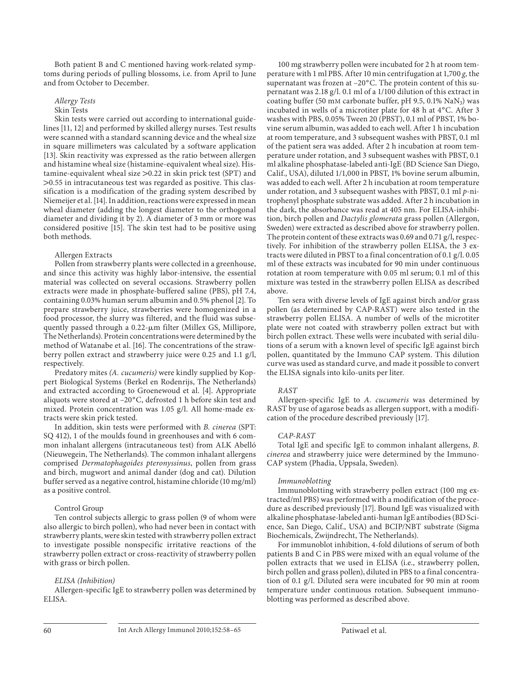Both patient B and C mentioned having work-related symptoms during periods of pulling blossoms, i.e. from April to June and from October to December.

 *Allergy Tests* 

## Skin Tests

 Skin tests were carried out according to international guidelines [11, 12] and performed by skilled allergy nurses. Test results were scanned with a standard scanning device and the wheal size in square millimeters was calculated by a software application [13]. Skin reactivity was expressed as the ratio between allergen and histamine wheal size (histamine-equivalent wheal size). Histamine-equivalent wheal size  $>0.22$  in skin prick test (SPT) and  $>0.55$  in intracutaneous test was regarded as positive. This classification is a modification of the grading system described by Niemeijer et al. [14]. In addition, reactions were expressed in mean wheal diameter (adding the longest diameter to the orthogonal diameter and dividing it by 2). A diameter of 3 mm or more was considered positive [15]. The skin test had to be positive using both methods.

## Allergen Extracts

 Pollen from strawberry plants were collected in a greenhouse, and since this activity was highly labor-intensive, the essential material was collected on several occasions. Strawberry pollen extracts were made in phosphate-buffered saline (PBS), pH 7.4, containing 0.03% human serum albumin and 0.5% phenol [2] . To prepare strawberry juice, strawberries were homogenized in a food processor, the slurry was filtered, and the fluid was subsequently passed through a 0.22- $\mu$ m filter (Millex GS, Millipore, The Netherlands). Protein concentrations were determined by the method of Watanabe et al. [16]. The concentrations of the strawberry pollen extract and strawberry juice were 0.25 and 1.1 g/l, respectively.

 Predatory mites *(A. cucumeris)* were kindly supplied by Koppert Biological Systems (Berkel en Rodenrijs, The Netherlands) and extracted according to Groenewoud et al. [4]. Appropriate aliquots were stored at -20°C, defrosted 1 h before skin test and mixed. Protein concentration was 1.05 g/l. All home-made extracts were skin prick tested.

 In addition, skin tests were performed with *B. cinerea* (SPT: SQ 412), 1 of the moulds found in greenhouses and with 6 common inhalant allergens (intracutaneous test) from ALK Abelló (Nieuwegein, The Netherlands). The common inhalant allergens comprised *Dermatophagoides pteronyssinus* , pollen from grass and birch, mugwort and animal dander (dog and cat). Dilution buffer served as a negative control, histamine chloride (10 mg/ml) as a positive control.

## Control Group

 Ten control subjects allergic to grass pollen (9 of whom were also allergic to birch pollen), who had never been in contact with strawberry plants, were skin tested with strawberry pollen extract to investigate possible nonspecific irritative reactions of the strawberry pollen extract or cross-reactivity of strawberry pollen with grass or birch pollen.

## *ELISA (Inhibition)*

 Allergen-specific IgE to strawberry pollen was determined by ELISA.

 100 mg strawberry pollen were incubated for 2 h at room temperature with 1 ml PBS. After 10 min centrifugation at 1,700 *g,* the supernatant was frozen at  $-20^{\circ}$ C. The protein content of this supernatant was 2.18 g/l. 0.1 ml of a 1/100 dilution of this extract in coating buffer (50 mM carbonate buffer, pH 9.5,  $0.1\%$  NaN<sub>3</sub>) was incubated in wells of a microtiter plate for 48 h at 4°C. After 3 washes with PBS, 0.05% Tween 20 (PBST), 0.1 ml of PBST, 1% bovine serum albumin, was added to each well. After 1 h incubation at room temperature, and 3 subsequent washes with PBST, 0.1 ml of the patient sera was added. After 2 h incubation at room temperature under rotation, and 3 subsequent washes with PBST, 0.1 ml alkaline phosphatase-labeled anti-IgE (BD Science San Diego, Calif., USA), diluted 1/1,000 in PBST, 1% bovine serum albumin, was added to each well. After 2 h incubation at room temperature under rotation, and 3 subsequent washes with PBST, 0.1 ml *p*-nitrophenyl phosphate substrate was added. After 2 h incubation in the dark, the absorbance was read at 405 nm. For ELISA-inhibition, birch pollen and *Dactylis glomerata* grass pollen (Allergon, Sweden) were extracted as described above for strawberry pollen. The protein content of these extracts was 0.69 and 0.71 g/l, respectively. For inhibition of the strawberry pollen ELISA, the 3 extracts were diluted in PBST to a final concentration of 0.1 g/l. 0.05 ml of these extracts was incubated for 90 min under continuous rotation at room temperature with 0.05 ml serum; 0.1 ml of this mixture was tested in the strawberry pollen ELISA as described above.

 Ten sera with diverse levels of IgE against birch and/or grass pollen (as determined by CAP-RAST) were also tested in the strawberry pollen ELISA. A number of wells of the microtiter plate were not coated with strawberry pollen extract but with birch pollen extract. These wells were incubated with serial dilutions of a serum with a known level of specific IgE against birch pollen, quantitated by the Immuno CAP system. This dilution curve was used as standard curve, and made it possible to convert the ELISA signals into kilo-units per liter.

## *RAST*

 Allergen-specific IgE to *A. cucumeris* was determined by RAST by use of agarose beads as allergen support, with a modification of the procedure described previously [17] .

#### *CAP-RAST*

 Total IgE and specific IgE to common inhalant allergens, *B. cinerea* and strawberry juice were determined by the Immuno-CAP system (Phadia, Uppsala, Sweden).

#### *Immunoblotting*

 Immunoblotting with strawberry pollen extract (100 mg extracted/ml PBS) was performed with a modification of the procedure as described previously [17] . Bound IgE was visualized with alkaline phosphatase-labeled anti-human IgE antibodies (BD Science, San Diego, Calif., USA) and BCIP/NBT substrate (Sigma Biochemicals, Zwijndrecht, The Netherlands).

 For immunoblot inhibition, 4-fold dilutions of serum of both patients B and C in PBS were mixed with an equal volume of the pollen extracts that we used in ELISA (i.e., strawberry pollen, birch pollen and grass pollen), diluted in PBS to a final concentration of 0.1 g/l. Diluted sera were incubated for 90 min at room temperature under continuous rotation. Subsequent immunoblotting was performed as described above.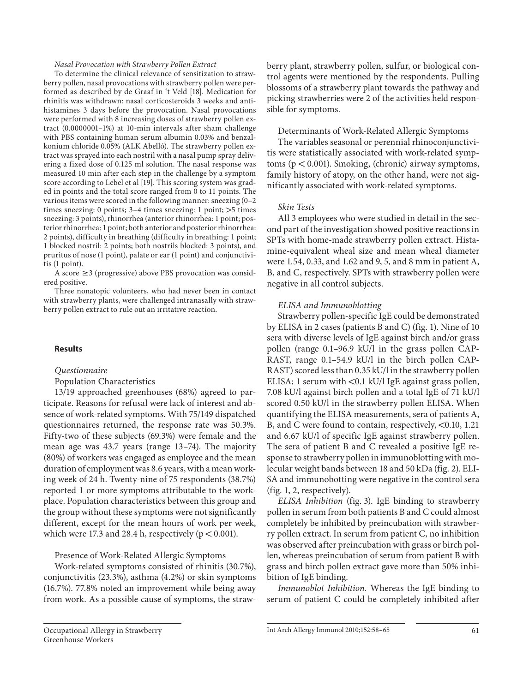#### *Nasal Provocation with Strawberry Pollen Extract*

 To determine the clinical relevance of sensitization to strawberry pollen, nasal provocations with strawberry pollen were performed as described by de Graaf in 't Veld [18] . Medication for rhinitis was withdrawn: nasal corticosteroids 3 weeks and antihistamines 3 days before the provocation. Nasal provocations were performed with 8 increasing doses of strawberry pollen extract (0.0000001–1%) at 10-min intervals after sham challenge with PBS containing human serum albumin 0.03% and benzalkonium chloride 0.05% (ALK Abelló). The strawberry pollen extract was sprayed into each nostril with a nasal pump spray delivering a fixed dose of 0.125 ml solution. The nasal response was measured 10 min after each step in the challenge by a symptom score according to Lebel et al [19]. This scoring system was graded in points and the total score ranged from 0 to 11 points. The various items were scored in the following manner: sneezing (0–2 times sneezing: 0 points;  $3-4$  times sneezing: 1 point;  $>5$  times sneezing: 3 points), rhinorrhea (anterior rhinorrhea: 1 point; posterior rhinorrhea: 1 point; both anterior and posterior rhinorrhea: 2 points), difficulty in breathing (difficulty in breathing: 1 point; 1 blocked nostril: 2 points; both nostrils blocked: 3 points), and pruritus of nose (1 point), palate or ear (1 point) and conjunctivitis (1 point).

A score  $\geq$  3 (progressive) above PBS provocation was considered positive.

 Three nonatopic volunteers, who had never been in contact with strawberry plants, were challenged intranasally with strawberry pollen extract to rule out an irritative reaction.

# **Results**

#### *Questionnaire*

Population Characteristics

 13/19 approached greenhouses (68%) agreed to participate. Reasons for refusal were lack of interest and absence of work-related symptoms. With 75/149 dispatched questionnaires returned, the response rate was 50.3%. Fifty-two of these subjects (69.3%) were female and the mean age was 43.7 years (range 13–74). The majority (80%) of workers was engaged as employee and the mean duration of employment was 8.6 years, with a mean working week of 24 h. Twenty-nine of 75 respondents (38.7%) reported 1 or more symptoms attributable to the workplace. Population characteristics between this group and the group without these symptoms were not significantly different, except for the mean hours of work per week, which were 17.3 and 28.4 h, respectively ( $p < 0.001$ ).

Presence of Work-Related Allergic Symptoms

 Work-related symptoms consisted of rhinitis (30.7%), conjunctivitis (23.3%), asthma (4.2%) or skin symptoms (16.7%). 77.8% noted an improvement while being away from work. As a possible cause of symptoms, the strawberry plant, strawberry pollen, sulfur, or biological control agents were mentioned by the respondents. Pulling blossoms of a strawberry plant towards the pathway and picking strawberries were 2 of the activities held responsible for symptoms.

Determinants of Work-Related Allergic Symptoms

 The variables seasonal or perennial rhinoconjunctivitis were statistically associated with work-related symptoms ( $p < 0.001$ ). Smoking, (chronic) airway symptoms, family history of atopy, on the other hand, were not significantly associated with work-related symptoms.

# *Skin Tests*

 All 3 employees who were studied in detail in the second part of the investigation showed positive reactions in SPTs with home-made strawberry pollen extract. Histamine-equivalent wheal size and mean wheal diameter were 1.54, 0.33, and 1.62 and 9, 5, and 8 mm in patient A, B, and C, respectively. SPTs with strawberry pollen were negative in all control subjects.

#### *ELISA and Immunoblotting*

 Strawberry pollen-specific IgE could be demonstrated by ELISA in 2 cases (patients B and C) ( $fig. 1$ ). Nine of 10 sera with diverse levels of IgE against birch and/or grass pollen (range 0.1–96.9 kU/l in the grass pollen CAP-RAST, range 0.1–54.9 kU/l in the birch pollen CAP-RAST) scored less than 0.35 kU/l in the strawberry pollen ELISA; 1 serum with  $\leq 0.1$  kU/l IgE against grass pollen, 7.08 kU/l against birch pollen and a total IgE of 71 kU/l scored 0.50 kU/l in the strawberry pollen ELISA. When quantifying the ELISA measurements, sera of patients A, B, and C were found to contain, respectively,  $< 0.10, 1.21$ and 6.67 kU/l of specific IgE against strawberry pollen. The sera of patient B and C revealed a positive IgE response to strawberry pollen in immunoblotting with molecular weight bands between 18 and 50 kDa (fig. 2). ELI-SA and immunobotting were negative in the control sera  $(fig. 1, 2, respectively).$ 

*ELISA Inhibition* (fig. 3). IgE binding to strawberry pollen in serum from both patients B and C could almost completely be inhibited by preincubation with strawberry pollen extract. In serum from patient C, no inhibition was observed after preincubation with grass or birch pollen, whereas preincubation of serum from patient B with grass and birch pollen extract gave more than 50% inhibition of IgE binding.

*Immunoblot Inhibition.* Whereas the IgE binding to serum of patient C could be completely inhibited after

Occupational Allergy in Strawberry Greenhouse Workers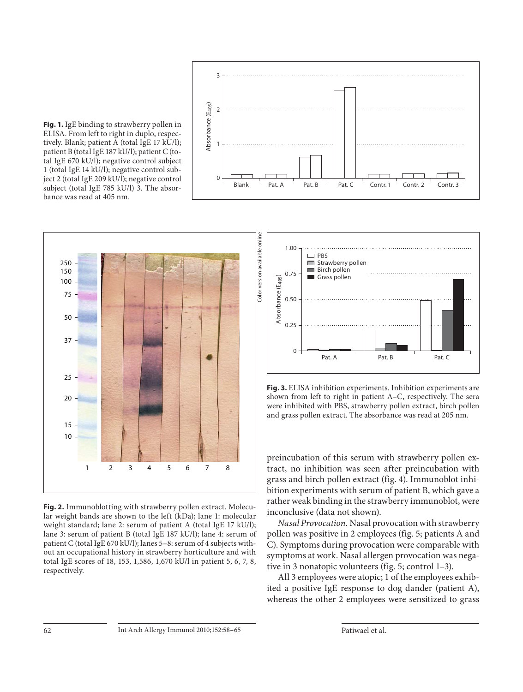





**Fig. 2.** Immunoblotting with strawberry pollen extract. Molecular weight bands are shown to the left (kDa); lane 1: molecular weight standard; lane 2: serum of patient A (total IgE 17 kU/l); lane 3: serum of patient B (total IgE 187 kU/l); lane 4: serum of patient C (total IgE 670 kU/l); lanes 5–8: serum of 4 subjects without an occupational history in strawberry horticulture and with total IgE scores of 18, 153, 1,586, 1,670 kU/l in patient 5, 6, 7, 8, respectively.



**Fig. 3.** ELISA inhibition experiments. Inhibition experiments are shown from left to right in patient A–C, respectively. The sera were inhibited with PBS, strawberry pollen extract, birch pollen and grass pollen extract. The absorbance was read at 205 nm.

preincubation of this serum with strawberry pollen extract, no inhibition was seen after preincubation with grass and birch pollen extract (fig. 4). Immunoblot inhibition experiments with serum of patient B, which gave a rather weak binding in the strawberry immunoblot, were inconclusive (data not shown).

*Nasal Provocation.* Nasal provocation with strawberry pollen was positive in 2 employees (fig. 5; patients A and C). Symptoms during provocation were comparable with symptoms at work. Nasal allergen provocation was negative in 3 nonatopic volunteers (fig. 5; control  $1-3$ ).

 All 3 employees were atopic; 1 of the employees exhibited a positive IgE response to dog dander (patient A), whereas the other 2 employees were sensitized to grass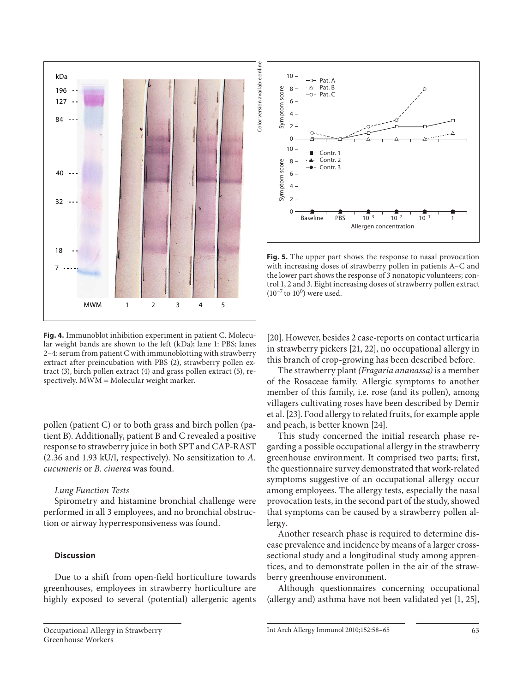

**Fig. 4.** Immunoblot inhibition experiment in patient C. Molecular weight bands are shown to the left (kDa); lane 1: PBS; lanes 2–4: serum from patient C with immunoblotting with strawberry extract after preincubation with PBS (2), strawberry pollen extract (3), birch pollen extract (4) and grass pollen extract (5), respectively. MWM = Molecular weight marker.

pollen (patient C) or to both grass and birch pollen (patient B). Additionally, patient B and C revealed a positive response to strawberry juice in both SPT and CAP-RAST (2.36 and 1.93 kU/l, respectively). No sensitization to *A. cucumeris* or *B. cinerea* was found.

# *Lung Function Tests*

 Spirometry and histamine bronchial challenge were performed in all 3 employees, and no bronchial obstruction or airway hyperresponsiveness was found.

# **Discussion**

 Due to a shift from open-field horticulture towards greenhouses, employees in strawberry horticulture are highly exposed to several (potential) allergenic agents



**Fig. 5.** The upper part shows the response to nasal provocation with increasing doses of strawberry pollen in patients A–C and the lower part shows the response of 3 nonatopic volunteers; control 1, 2 and 3. Eight increasing doses of strawberry pollen extract  $(10^{-7}$  to  $10^{0}$ ) were used.

[20]. However, besides 2 case-reports on contact urticaria in strawberry pickers [21, 22], no occupational allergy in this branch of crop-growing has been described before.

 The strawberry plant *(Fragaria ananassa)* is a member of the Rosaceae family. Allergic symptoms to another member of this family, i.e. rose (and its pollen), among villagers cultivating roses have been described by Demir et al. [23] . Food allergy to related fruits, for example apple and peach, is better known [24] .

 This study concerned the initial research phase regarding a possible occupational allergy in the strawberry greenhouse environment. It comprised two parts; first, the questionnaire survey demonstrated that work-related symptoms suggestive of an occupational allergy occur among employees. The allergy tests, especially the nasal provocation tests, in the second part of the study, showed that symptoms can be caused by a strawberry pollen allergy.

 Another research phase is required to determine disease prevalence and incidence by means of a larger crosssectional study and a longitudinal study among apprentices, and to demonstrate pollen in the air of the strawberry greenhouse environment.

 Although questionnaires concerning occupational (allergy and) asthma have not been validated yet [1, 25],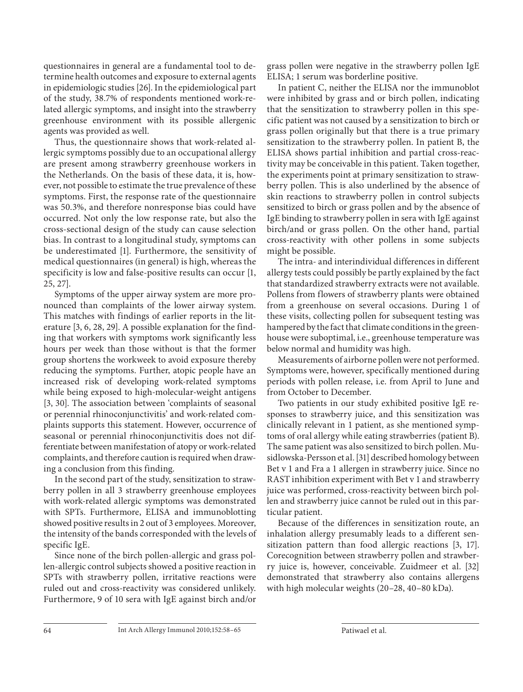questionnaires in general are a fundamental tool to determine health outcomes and exposure to external agents in epidemiologic studies [26] . In the epidemiological part of the study, 38.7% of respondents mentioned work-related allergic symptoms, and insight into the strawberry greenhouse environment with its possible allergenic agents was provided as well.

 Thus, the questionnaire shows that work-related allergic symptoms possibly due to an occupational allergy are present among strawberry greenhouse workers in the Netherlands. On the basis of these data, it is, however, not possible to estimate the true prevalence of these symptoms. First, the response rate of the questionnaire was 50.3%, and therefore nonresponse bias could have occurred. Not only the low response rate, but also the cross-sectional design of the study can cause selection bias. In contrast to a longitudinal study, symptoms can be underestimated [1]. Furthermore, the sensitivity of medical questionnaires (in general) is high, whereas the specificity is low and false-positive results can occur [1, 25, 27] .

 Symptoms of the upper airway system are more pronounced than complaints of the lower airway system. This matches with findings of earlier reports in the literature [3, 6, 28, 29]. A possible explanation for the finding that workers with symptoms work significantly less hours per week than those without is that the former group shortens the workweek to avoid exposure thereby reducing the symptoms. Further, atopic people have an increased risk of developing work-related symptoms while being exposed to high-molecular-weight antigens [3, 30]. The association between 'complaints of seasonal or perennial rhinoconjunctivitis' and work-related complaints supports this statement. However, occurrence of seasonal or perennial rhinoconjunctivitis does not differentiate between manifestation of atopy or work-related complaints, and therefore caution is required when drawing a conclusion from this finding.

 In the second part of the study, sensitization to strawberry pollen in all 3 strawberry greenhouse employees with work-related allergic symptoms was demonstrated with SPTs. Furthermore, ELISA and immunoblotting showed positive results in 2 out of 3 employees. Moreover, the intensity of the bands corresponded with the levels of specific IgE.

 Since none of the birch pollen-allergic and grass pollen-allergic control subjects showed a positive reaction in SPTs with strawberry pollen, irritative reactions were ruled out and cross-reactivity was considered unlikely. Furthermore, 9 of 10 sera with IgE against birch and/or grass pollen were negative in the strawberry pollen IgE ELISA; 1 serum was borderline positive.

 In patient C, neither the ELISA nor the immunoblot were inhibited by grass and or birch pollen, indicating that the sensitization to strawberry pollen in this specific patient was not caused by a sensitization to birch or grass pollen originally but that there is a true primary sensitization to the strawberry pollen. In patient B, the ELISA shows partial inhibition and partial cross-reactivity may be conceivable in this patient. Taken together, the experiments point at primary sensitization to strawberry pollen. This is also underlined by the absence of skin reactions to strawberry pollen in control subjects sensitized to birch or grass pollen and by the absence of IgE binding to strawberry pollen in sera with IgE against birch/and or grass pollen. On the other hand, partial cross-reactivity with other pollens in some subjects might be possible.

 The intra- and interindividual differences in different allergy tests could possibly be partly explained by the fact that standardized strawberry extracts were not available. Pollens from flowers of strawberry plants were obtained from a greenhouse on several occasions. During 1 of these visits, collecting pollen for subsequent testing was hampered by the fact that climate conditions in the greenhouse were suboptimal, i.e., greenhouse temperature was below normal and humidity was high.

 Measurements of airborne pollen were not performed. Symptoms were, however, specifically mentioned during periods with pollen release, i.e. from April to June and from October to December.

 Two patients in our study exhibited positive IgE responses to strawberry juice, and this sensitization was clinically relevant in 1 patient, as she mentioned symptoms of oral allergy while eating strawberries (patient B). The same patient was also sensitized to birch pollen. Musidlowska-Persson et al. [31] described homology between Bet v 1 and Fra a 1 allergen in strawberry juice. Since no RAST inhibition experiment with Bet v 1 and strawberry juice was performed, cross-reactivity between birch pollen and strawberry juice cannot be ruled out in this particular patient.

 Because of the differences in sensitization route, an inhalation allergy presumably leads to a different sensitization pattern than food allergic reactions [3, 17]. Corecognition between strawberry pollen and strawberry juice is, however, conceivable. Zuidmeer et al. [32] demonstrated that strawberry also contains allergens with high molecular weights (20–28, 40–80 kDa).